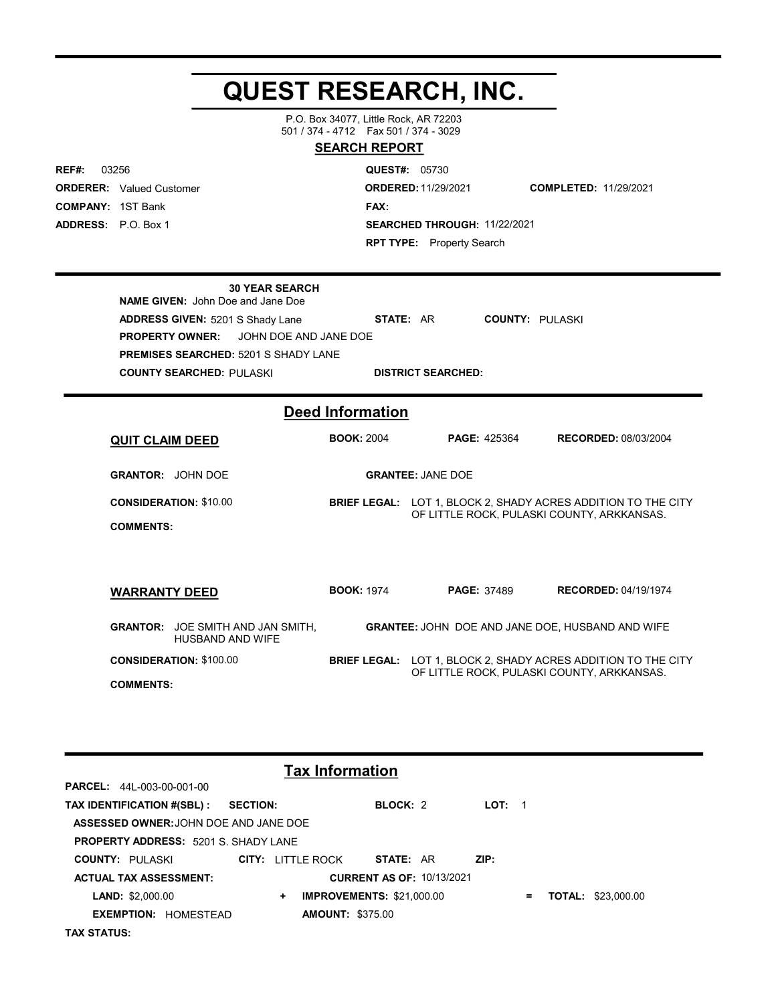**QUEST RESEARCH, INC.** P.O. Box 34077, Little Rock, AR 72203 501 / 374 - 4712 Fax 501 / 374 - 3029 **SEARCH REPORT REF#:** 03256 **30 YEAR SEARCH ORDERER:** Valued Customer **QUEST#:** 05730 **COMPANY:** 1ST Bank **ADDRESS: ORDERED:** 11/29/2021 **COMPLETED:** 11/29/2021 **FAX: SEARCHED THROUGH: 11/22/2021 RPT TYPE:** Property Search **NAME GIVEN:** John Doe and Jane Doe **ADDRESS GIVEN:** 5201 S Shady Lane **STATE:** AR **COUNTY:** PULASKI **PREMISES SEARCHED:** 5201 S SHADY LANE **COUNTY SEARCHED: DISTRICT SEARCHED:** PULASKI **PROPERTY OWNER:** JOHN DOE AND JANE DOE **Deed Information BOOK:** 2004 **PAGE:** 425364 **RECORDED:** 08/03/2004 **GRANTOR: QUIT CLAIM DEED GRANTEE: JANE DOE COMMENTS: CONSIDERATION:** \$10.00 **BRIEF LEGAL:** LOT 1, BLOCK 2, SHADY ACRES ADDITION TO THE CITY OF LITTLE ROCK, PULASKI COUNTY, ARKKANSAS. **BOOK:** 1974 **PAGE:** 37489 **RECORDED:** 04/19/1974 **WARRANTY DEED**

**GRANTEE:** JOHN DOE AND JANE DOE, HUSBAND AND WIFE

OF LITTLE ROCK, PULASKI COUNTY, ARKKANSAS.

| <b>Tax Information</b>                      |                     |                         |                                  |  |        |     |                           |  |
|---------------------------------------------|---------------------|-------------------------|----------------------------------|--|--------|-----|---------------------------|--|
| <b>PARCEL: 44L-003-00-001-00</b>            |                     |                         |                                  |  |        |     |                           |  |
| TAX IDENTIFICATION #(SBL) :                 | <b>SECTION:</b>     |                         | <b>BLOCK: 2</b>                  |  | LOT: 1 |     |                           |  |
| ASSESSED OWNER: JOHN DOE AND JANE DOE       |                     |                         |                                  |  |        |     |                           |  |
| <b>PROPERTY ADDRESS: 5201 S. SHADY LANE</b> |                     |                         |                                  |  |        |     |                           |  |
| <b>COUNTY: PULASKI</b>                      | CITY: I ITTI F ROCK |                         | <b>STATE: AR</b>                 |  | ZIP:   |     |                           |  |
| <b>ACTUAL TAX ASSESSMENT:</b>               |                     |                         | <b>CURRENT AS OF: 10/13/2021</b> |  |        |     |                           |  |
| <b>LAND: \$2,000.00</b>                     | $\ddotmark$         |                         | <b>IMPROVEMENTS: \$21,000.00</b> |  |        | $=$ | <b>TOTAL: \$23,000.00</b> |  |
| <b>EXEMPTION: HOMESTEAD</b>                 |                     | <b>AMOUNT: \$375.00</b> |                                  |  |        |     |                           |  |
| <b>TAX STATUS:</b>                          |                     |                         |                                  |  |        |     |                           |  |

**CONSIDERATION:** \$100.00 **BRIEF LEGAL:** LOT 1, BLOCK 2, SHADY ACRES ADDITION TO THE CITY

**GRANTOR:** JOE SMITH AND JAN SMITH,

**COMMENTS:**

HUSBAND AND WIFE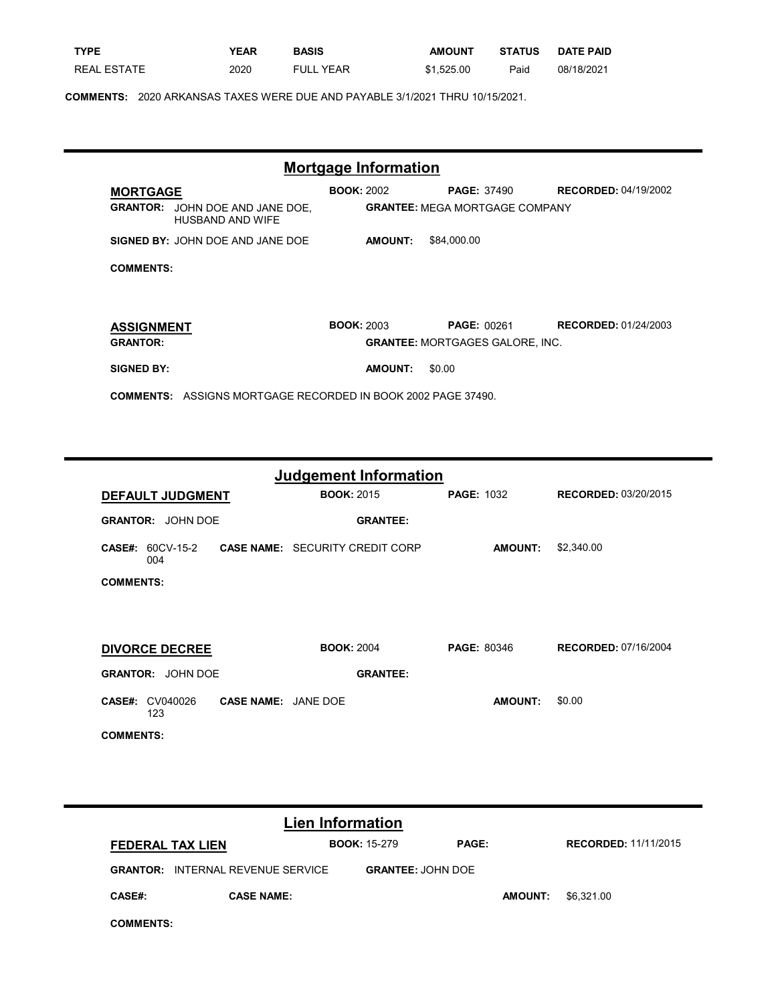| <b>TYPE</b>        | YEAR | <b>BASIS</b>     | <b>AMOUNT</b> | <b>STATUS</b> | <b>DATE PAID</b> |
|--------------------|------|------------------|---------------|---------------|------------------|
| <b>REAL ESTATE</b> | 2020 | <b>FULL YEAR</b> | \$1.525.00    | Paid          | 08/18/2021       |

**COMMENTS:** 2020 ARKANSAS TAXES WERE DUE AND PAYABLE 3/1/2021 THRU 10/15/2021.

| <b>Mortgage Information</b>                                         |                   |                                                             |                             |  |  |  |
|---------------------------------------------------------------------|-------------------|-------------------------------------------------------------|-----------------------------|--|--|--|
| <b>MORTGAGE</b><br><b>GRANTOR:</b><br>JOHN DOE AND JANE DOE,        | <b>BOOK: 2002</b> | <b>PAGE: 37490</b><br><b>GRANTEE: MEGA MORTGAGE COMPANY</b> | <b>RECORDED: 04/19/2002</b> |  |  |  |
| <b>HUSBAND AND WIFE</b>                                             |                   |                                                             |                             |  |  |  |
| SIGNED BY: JOHN DOE AND JANE DOE                                    | <b>AMOUNT:</b>    | \$84,000.00                                                 |                             |  |  |  |
| <b>COMMENTS:</b>                                                    |                   |                                                             |                             |  |  |  |
|                                                                     |                   |                                                             |                             |  |  |  |
| <b>ASSIGNMENT</b>                                                   | <b>BOOK: 2003</b> | <b>PAGE: 00261</b>                                          | <b>RECORDED: 01/24/2003</b> |  |  |  |
| <b>GRANTOR:</b>                                                     |                   | <b>GRANTEE: MORTGAGES GALORE, INC.</b>                      |                             |  |  |  |
| <b>SIGNED BY:</b>                                                   | <b>AMOUNT:</b>    | \$0.00                                                      |                             |  |  |  |
| <b>COMMENTS:</b> ASSIGNS MORTGAGE RECORDED IN BOOK 2002 PAGE 37490. |                   |                                                             |                             |  |  |  |

| <b>Judgement Information</b>                                   |                                        |                    |                             |  |  |  |
|----------------------------------------------------------------|----------------------------------------|--------------------|-----------------------------|--|--|--|
| <b>DEFAULT JUDGMENT</b>                                        | <b>BOOK: 2015</b>                      | <b>PAGE: 1032</b>  | <b>RECORDED: 03/20/2015</b> |  |  |  |
| <b>GRANTOR: JOHN DOE</b>                                       | <b>GRANTEE:</b>                        |                    |                             |  |  |  |
| 60CV-15-2<br><b>CASE#:</b><br>004                              | <b>CASE NAME: SECURITY CREDIT CORP</b> | <b>AMOUNT:</b>     | \$2,340.00                  |  |  |  |
| <b>COMMENTS:</b>                                               |                                        |                    |                             |  |  |  |
|                                                                |                                        |                    |                             |  |  |  |
|                                                                |                                        |                    |                             |  |  |  |
| <b>DIVORCE DECREE</b>                                          | <b>BOOK: 2004</b>                      | <b>PAGE: 80346</b> | <b>RECORDED: 07/16/2004</b> |  |  |  |
| JOHN DOE<br><b>GRANTOR:</b>                                    | <b>GRANTEE:</b>                        |                    |                             |  |  |  |
| <b>CASE NAME: JANE DOE</b><br><b>CASE#:</b><br>CV040026<br>123 |                                        | <b>AMOUNT:</b>     | \$0.00                      |  |  |  |
| <b>COMMENTS:</b>                                               |                                        |                    |                             |  |  |  |

| <b>Lien Information</b> |                                          |  |                          |              |                |                             |  |
|-------------------------|------------------------------------------|--|--------------------------|--------------|----------------|-----------------------------|--|
| <b>FEDERAL TAX LIEN</b> |                                          |  | <b>BOOK: 15-279</b>      | <b>PAGE:</b> |                | <b>RECORDED: 11/11/2015</b> |  |
|                         | <b>GRANTOR: INTERNAL REVENUE SERVICE</b> |  | <b>GRANTEE: JOHN DOE</b> |              |                |                             |  |
| CASE#:                  | <b>CASE NAME:</b>                        |  |                          |              | <b>AMOUNT:</b> | \$6,321.00                  |  |
| <b>COMMENTS:</b>        |                                          |  |                          |              |                |                             |  |